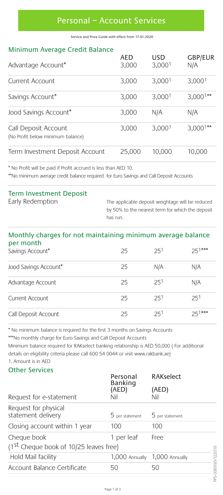# Personal – Account Services

Service and Price Guide with effect from 17-01-2020

### Minimum Average Credit Balance

| Advantage Account*                                        | <b>AED</b><br>3,000 | <b>USD</b><br>3,000 <sup>1</sup> | <b>GBP/EUR</b><br>N/A |
|-----------------------------------------------------------|---------------------|----------------------------------|-----------------------|
| Current Account                                           | 3,000               | 3,000 <sup>1</sup>               | 3,000 <sup>1</sup>    |
| Savings Account*                                          | 3,000               | 3,000 <sup>1</sup>               | $3,000^{1**}$         |
| Jood Savings Account*                                     | 3,000               | N/A                              | N/A                   |
| Call Deposit Account<br>(No Profit below minimum balance) | 3,000               | 3.000 <sup>1</sup>               | $3,000^{1**}$         |
| Term Investment Deposit Account                           | 25,000              | 10,000                           | 10,000                |

\* No Profit will be paid if Profit accrued is less than AED 10.

\*\*No minimum average credit balance required for Euro Savings and Call Deposit Accounts

# Term Investment Deposit

Early Redemption The applicable deposit weightage will be reduced by 50% to the nearest term for which the deposit has run.

#### Monthly charges for not maintaining minimum average balance per month

| ---------<br>Savings Account* | 25 | 251 | $25^{1***}$ |
|-------------------------------|----|-----|-------------|
| Jood Savings Account*         | 25 | N/A | N/A         |
| Advantage Account             | 25 | 251 | N/A         |
| Current Account               | 25 | 251 | 251         |
| Call Deposit Account          | 25 | 251 | $251***$    |

\* No minimum balance is required for the first 3 months on Savings Accounts

\*\*\*No monthly charge for Euro Savings and Call Deposit Accounts

Minimum balance required for RAKselect banking relationship is AED 50,000 ( For additional details on eligibility criteria please call 600 54 0044 or visit www.rakbank.ae) 1. Amount is in AED

#### Other Services

| Request for e-statement                               | Personal<br><b>Banking</b><br>(AED)<br>Nil | RAKselect                |  |
|-------------------------------------------------------|--------------------------------------------|--------------------------|--|
|                                                       |                                            | (AED)<br>Nil             |  |
| Request for physical<br>statement delivery            | 5 per statement                            | 5 per statement          |  |
| Closing account within 1 year                         | 100                                        | 100                      |  |
| Cheque book<br>(1st Cheque book of 10/25 leaves free) | 1 per leaf                                 | Free                     |  |
| Hold Mail facility                                    | 1,000 Annually                             | 122019<br>1,000 Annually |  |
| Account Balance Certificate                           | 50                                         | S99N<br>50               |  |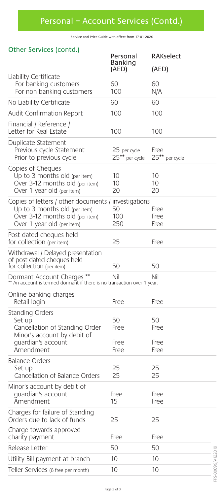Service and Price Guide with effect from 17-01-2020

### Other Services (contd.)

| Other Services (conta.)                                                                                                                                  | Personal                       | <b>RAKselect</b>           |
|----------------------------------------------------------------------------------------------------------------------------------------------------------|--------------------------------|----------------------------|
|                                                                                                                                                          | Banking                        |                            |
| Liability Certificate                                                                                                                                    | (AED)                          | (AED)                      |
| For banking customers                                                                                                                                    | 60                             | 60                         |
| For non banking customers                                                                                                                                | 100                            | N/A                        |
| No Liability Certificate                                                                                                                                 | 60                             | 60                         |
| Audit Confirmation Report                                                                                                                                | 100                            | 100                        |
| Financial / Reference /<br>Letter for Real Estate                                                                                                        | 100                            | 100                        |
| Duplicate Statement<br>Previous cycle Statement<br>Prior to previous cycle                                                                               | 25 per cycle<br>25** per cycle | Free<br>25** per cycle     |
| Copies of Cheques<br>Up to 3 months old (per item)<br>Over 3-12 months old (per item)<br>Over 1 year old (per item)                                      | 10<br>10<br>20                 | 10<br>10<br>20             |
| Copies of letters / other documents / investigations<br>Up to $3$ months old (per item)<br>Over 3-12 months old (per item)<br>Over 1 year old (per item) | 50<br>100<br>250               | Free<br>Free<br>Free       |
| Post dated cheques held<br>for collection (per item)                                                                                                     | 25                             | Free                       |
| Withdrawal / Delayed presentation<br>of post dated cheques held<br>for collection (per item)                                                             | 50                             | 50                         |
| Dormant Account Charges ** Nil Nil<br>** An account is termed dormant if there is no transaction over 1 year.                                            |                                | Nil                        |
| Online banking charges<br>Retail login                                                                                                                   | Free                           | Free                       |
| <b>Standing Orders</b><br>Set up<br>Cancellation of Standing Order<br>Minor's account by debit of<br>quardian's account<br>Amendment                     | 50<br>Free<br>Free<br>Free     | 50<br>Free<br>Free<br>Free |
| <b>Balance Orders</b><br>Set up<br>Cancellation of Balance Orders                                                                                        | 25<br>25                       | 25<br>25                   |
| Minor's account by debit of<br>quardian's account<br>Amendment                                                                                           | Free<br>15                     | Free<br>Free               |
| Charges for failure of Standing<br>Orders due to lack of funds                                                                                           | 25                             | 25                         |
| Charge towards approved<br>charity payment                                                                                                               | Free                           | Free                       |
| Release Letter                                                                                                                                           | 50                             | 50                         |
| Utility Bill payment at branch                                                                                                                           | 10                             | 10                         |
| Teller Services (6 free per month)                                                                                                                       | 10                             | 10                         |
|                                                                                                                                                          |                                |                            |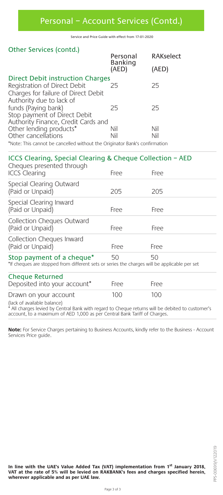Service and Price Guide with effect from 17-01-2020

### Other Services (contd.)

|                                         | Personal<br>Banking | <b>RAKselect</b> |  |
|-----------------------------------------|---------------------|------------------|--|
|                                         | (AED)               | (AED)            |  |
| <b>Direct Debit instruction Charges</b> |                     |                  |  |
| Registration of Direct Debit            | 25                  | 25               |  |
| Charges for failure of Direct Debit     |                     |                  |  |
| Authority due to lack of                |                     |                  |  |
| funds (Paying bank)                     | 25                  | 25               |  |
| Stop payment of Direct Debit            |                     |                  |  |
| Authority Finance, Credit Cards and     |                     |                  |  |
| Other lending products*                 | Nil                 | Nil              |  |
| Other cancellations                     | Nil                 | Nil              |  |
|                                         |                     |                  |  |

\*Note: This cannot be cancelled without the Originator Bank's confirmation

| ICCS Clearing, Special Clearing & Cheque Collection - AED<br>Cheques presented through                                    |      |      |  |
|---------------------------------------------------------------------------------------------------------------------------|------|------|--|
| <b>ICCS Clearing</b>                                                                                                      | Free | Free |  |
| Special Clearing Outward<br>(Paid or Unpaid)                                                                              | 205  | 205  |  |
| Special Clearing Inward<br>(Paid or Unpaid)                                                                               | Free | Free |  |
| Collection Cheques Outward<br>(Paid or Unpaid)                                                                            | Free | Free |  |
| Collection Cheques Inward<br>(Paid or Unpaid)                                                                             | Free | Free |  |
| Stop payment of a cheque*<br>*If cheques are stopped from different sets or series the charges will be applicable per set | 50   | 50   |  |
| <b>Cheque Returned</b><br>Deposited into your account*                                                                    | Free | Free |  |
| Drawn on your account<br>$B = -1$ , $B = -1$ , $B = 1$ , $A = 1$ , $A = -1$ , $A = -1$                                    | 100  | 100  |  |

(lack of available balance) \* All charges levied by Central Bank with regard to Cheque returns will be debited to customer's account, to a maximum of AED 1,000 as per Central Bank Tariff of Charges.

**Note:** For Service Charges pertaining to Business Accounts, kindly refer to the Business - Account Services Price guide.

In line with the UAE's Value Added Tax (VAT) implementation from 1<sup>st</sup> January 2018,<br>VAT at the rate of 5% will be levied on RAKBANK's fees and charges specified herein,<br>wherever applicable and as per UAE law.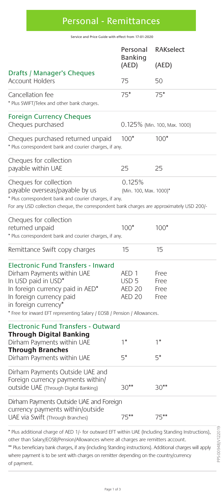# Personal - Remittances

Service and Price Guide with effect from 17-01-2020

|                                                                                                                                                                                                                                                                                                                                                                                                                     | Personal<br>Banking                                         | <b>RAKselect</b>             |  |
|---------------------------------------------------------------------------------------------------------------------------------------------------------------------------------------------------------------------------------------------------------------------------------------------------------------------------------------------------------------------------------------------------------------------|-------------------------------------------------------------|------------------------------|--|
|                                                                                                                                                                                                                                                                                                                                                                                                                     | (AED)                                                       | (AED)                        |  |
| Drafts / Manager's Cheques<br>Account Holders                                                                                                                                                                                                                                                                                                                                                                       | 75                                                          | 50                           |  |
| Cancellation fee<br>* Plus SWIFT/Telex and other bank charges.                                                                                                                                                                                                                                                                                                                                                      | $75*$                                                       | $75*$                        |  |
| <b>Foreign Currency Cheques</b><br>Cheques purchased                                                                                                                                                                                                                                                                                                                                                                |                                                             | 0.125% (Min. 100, Max. 1000) |  |
| Cheques purchased returned unpaid<br>* Plus correspondent bank and courier charges, if any.                                                                                                                                                                                                                                                                                                                         | $100*$                                                      | $100*$                       |  |
| Cheques for collection<br>payable within UAE                                                                                                                                                                                                                                                                                                                                                                        | 25                                                          | 25                           |  |
| Cheques for collection<br>payable overseas/payable by us<br>* Plus correspondent bank and courier charges, if any.<br>For any USD collection cheque, the correspondent bank charges are approximately USD 200/-                                                                                                                                                                                                     | 0.125%<br>(Min. 100, Max. 1000)*                            |                              |  |
| Cheques for collection<br>returned unpaid<br>* Plus correspondent bank and courier charges, if any.                                                                                                                                                                                                                                                                                                                 | $100*$                                                      | $100*$                       |  |
| Remittance Swift copy charges                                                                                                                                                                                                                                                                                                                                                                                       | 15                                                          | 15                           |  |
| <b>Electronic Fund Transfers - Inward</b><br>Dirham Payments within UAE<br>In USD paid in USD*<br>In foreign currency paid in AED*<br>In foreign currency paid<br>in foreign currency*<br>* Free for inward EFT representing Salary / EOSB / Pension / Allowances.                                                                                                                                                  | AED 1<br>USD <sub>5</sub><br><b>AED 20</b><br><b>AED 20</b> | Free<br>Free<br>Free<br>Free |  |
| <b>Electronic Fund Transfers - Outward</b><br><b>Through Digital Banking</b><br>Dirham Payments within UAE                                                                                                                                                                                                                                                                                                          | 1*                                                          | 1*                           |  |
| <b>Through Branches</b><br>Dirham Payments within UAE                                                                                                                                                                                                                                                                                                                                                               | $5^*$                                                       | $5^*$                        |  |
| Dirham Payments Outside UAE and<br>Foreign currency payments within/<br>OUtside UAE (Through Digital Banking)                                                                                                                                                                                                                                                                                                       | $30**$                                                      | $30**$                       |  |
| Dirham Payments Outside UAE and Foreign<br>currency payments within/outside<br>UAE via Swift (Through Branches)                                                                                                                                                                                                                                                                                                     | $75***$                                                     | $75***$                      |  |
| PPS-00948/V122019<br>* Plus additional charge of AED 1/- for outward EFT within UAE (Including Standing Instructions),<br>other than Salary/EOSB/Pension/Allowances where all charges are remitters account.<br>** Plus beneficiary bank charges, if any (including Standing instructions). Additional charges will apply<br>where payment is to be sent with charges on remitter depending on the country/currency |                                                             |                              |  |

\*\* Plus beneficiary bank charges, if any (including Standing instructions). Additional charges will apply where payment is to be sent with charges on remitter depending on the country/currency of payment.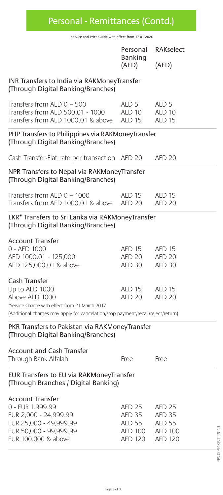Personal - Remittances (Contd.)

Service and Price Guide with effect from 17-01-2020

|                                                                                                                          | Personal<br>Banking                                        |                                                                   | <b>RAKselect</b> |
|--------------------------------------------------------------------------------------------------------------------------|------------------------------------------------------------|-------------------------------------------------------------------|------------------|
|                                                                                                                          | (AED)                                                      | (AED)                                                             |                  |
| INR Transfers to India via RAKMoneyTransfer<br>(Through Digital Banking/Branches)                                        |                                                            |                                                                   |                  |
| Transfers from AED 0 - 500<br>Transfers from AED 500.01 - 1000<br>Transfers from AED 1000.01 & above                     | AED <sub>5</sub><br>AED 10<br><b>AED 15</b>                | AED <sub>5</sub><br>AED 10<br><b>AED 15</b>                       |                  |
| PHP Transfers to Philippines via RAKMoneyTransfer<br>(Through Digital Banking/Branches)                                  |                                                            |                                                                   |                  |
| Cash Transfer-Flat rate per transaction AED 20                                                                           |                                                            | AED <sub>20</sub>                                                 |                  |
| NPR Transfers to Nepal via RAKMoneyTransfer<br>(Through Digital Banking/Branches)                                        |                                                            |                                                                   |                  |
| Transfers from AED $0 - 1000$<br>Transfers from AED 1000.01 & above                                                      | <b>AED 15</b><br><b>AED 20</b>                             | <b>AED 15</b><br><b>AED 20</b>                                    |                  |
| LKR* Transfers to Sri Lanka via RAKMoneyTransfer<br>(Through Digital Banking/Branches)                                   |                                                            |                                                                   |                  |
| <b>Account Transfer</b><br>0 - AED 1000                                                                                  | <b>AED 15</b>                                              | <b>AED 15</b>                                                     |                  |
| AED 1000.01 - 125,000<br>AED 125,000.01 & above                                                                          | AED 20<br>AED 30                                           | <b>AED 20</b><br>AED 30                                           |                  |
| Cash Transfer<br>Up to AED 1000<br>Above AED 1000<br>*Service Charge with effect from 21 March 2017                      | <b>AED 15</b><br><b>AED 20</b>                             | <b>AED 15</b><br>AED <sub>20</sub>                                |                  |
| (Additional charges may apply for cancelation/stop payment/recall/reject/return)                                         |                                                            |                                                                   |                  |
| PKR Transfers to Pakistan via RAKMoneyTransfer<br>(Through Digital Banking/Branches)                                     |                                                            |                                                                   |                  |
| <b>Account and Cash Transfer</b><br>Through Bank Alfalah                                                                 | Free                                                       | Free                                                              |                  |
| EUR Transfers to EU via RAKMoneyTransfer<br>(Through Branches / Digital Banking)                                         |                                                            |                                                                   |                  |
| <b>Account Transfer</b><br>0 - EUR 1,999.99<br>EUR 2,000 - 24,999.99<br>EUR 25,000 - 49,999.99<br>EUR 50,000 - 99,999.99 | <b>AED 25</b><br><b>AED 35</b><br>AED 55<br><b>AED 100</b> | <b>AED 25</b><br><b>AED 35</b><br><b>AED 55</b><br><b>AED 100</b> |                  |
| EUR 100,000 & above                                                                                                      | <b>AED 120</b>                                             | PPS-00948/V122019<br><b>AED 120</b>                               |                  |
|                                                                                                                          |                                                            |                                                                   |                  |